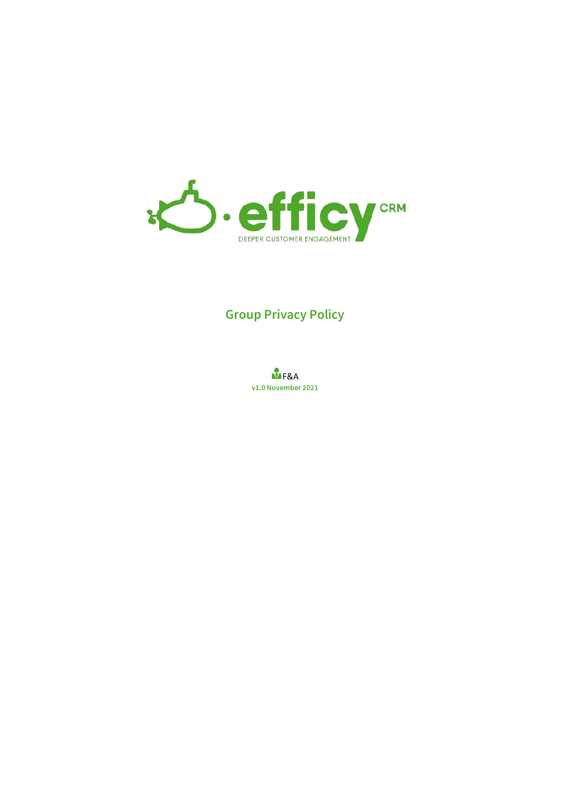

# **Group Privacy Policy**

**M**F&A **v1.0 November 2021**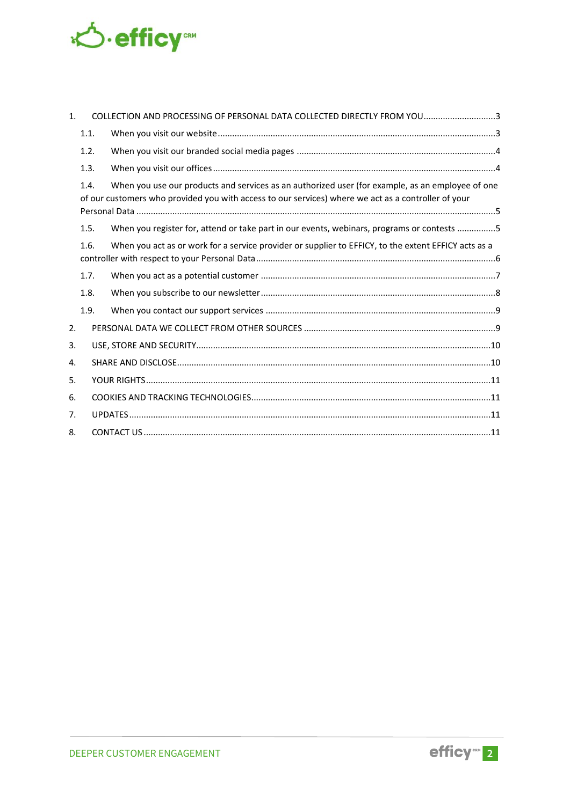

| $\mathbf{1}$ . |      | COLLECTION AND PROCESSING OF PERSONAL DATA COLLECTED DIRECTLY FROM YOU3                                                                                                                                 |  |
|----------------|------|---------------------------------------------------------------------------------------------------------------------------------------------------------------------------------------------------------|--|
|                | 1.1. |                                                                                                                                                                                                         |  |
|                | 1.2. |                                                                                                                                                                                                         |  |
|                | 1.3. |                                                                                                                                                                                                         |  |
|                | 1.4. | When you use our products and services as an authorized user (for example, as an employee of one<br>of our customers who provided you with access to our services) where we act as a controller of your |  |
|                | 1.5. | When you register for, attend or take part in our events, webinars, programs or contests 5                                                                                                              |  |
|                | 1.6. | When you act as or work for a service provider or supplier to EFFICY, to the extent EFFICY acts as a                                                                                                    |  |
|                | 1.7. |                                                                                                                                                                                                         |  |
|                | 1.8. |                                                                                                                                                                                                         |  |
|                | 1.9. |                                                                                                                                                                                                         |  |
| 2.             |      |                                                                                                                                                                                                         |  |
| 3.             |      |                                                                                                                                                                                                         |  |
| 4.             |      |                                                                                                                                                                                                         |  |
| 5.             |      |                                                                                                                                                                                                         |  |
| 6.             |      |                                                                                                                                                                                                         |  |
| 7.             |      |                                                                                                                                                                                                         |  |
| 8.             |      |                                                                                                                                                                                                         |  |

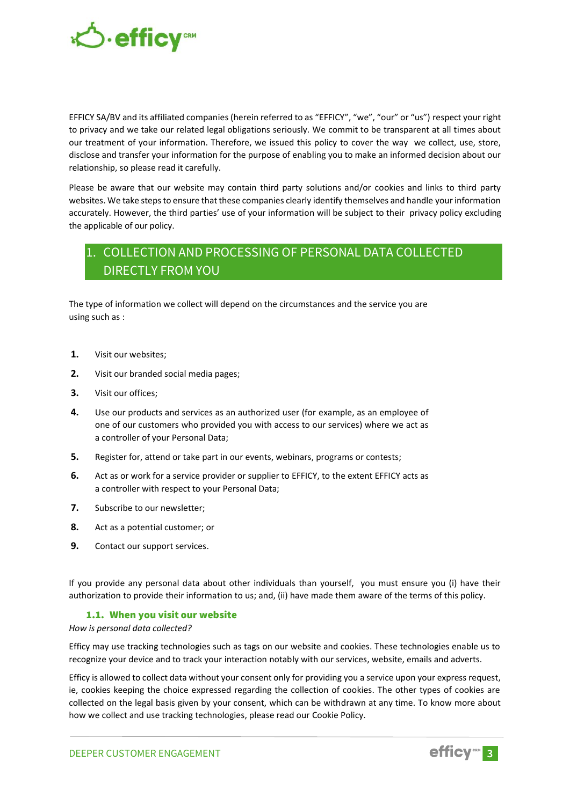

EFFICY SA/BV and its affiliated companies (herein referred to as "EFFICY", "we", "our" or "us") respect your right to privacy and we take our related legal obligations seriously. We commit to be transparent at all times about our treatment of your information. Therefore, we issued this policy to cover the way we collect, use, store, disclose and transfer your information for the purpose of enabling you to make an informed decision about our relationship, so please read it carefully.

Please be aware that our website may contain third party solutions and/or cookies and links to third party websites. We take steps to ensure that these companies clearly identify themselves and handle your information accurately. However, the third parties' use of your information will be subject to their privacy policy excluding the applicable of our policy.

## <span id="page-2-0"></span>1. COLLECTION AND PROCESSING OF PERSONAL DATA COLLECTED DIRECTLY FROM YOU

The type of information we collect will depend on the circumstances and the service you are using such as :

- **1.** Visit our websites;
- **2.** Visit our branded social media pages;
- **3.** Visit our offices;
- **4.** Use our products and services as an authorized user (for example, as an employee of one of our customers who provided you with access to our services) where we act as a controller of your Personal Data;
- **5.** Register for, attend or take part in our events, webinars, programs or contests;
- **6.** Act as or work for a service provider or supplier to EFFICY, to the extent EFFICY acts as a controller with respect to your Personal Data;
- **7.** Subscribe to our newsletter;
- **8.** Act as a potential customer; or
- **9.** Contact our support services.

If you provide any personal data about other individuals than yourself, you must ensure you (i) have their authorization to provide their information to us; and, (ii) have made them aware of the terms of this policy.

#### 1.1. When you visit our website

#### <span id="page-2-1"></span>*How is personal data collected?*

Efficy may use tracking technologies such as tags on our website and cookies. These technologies enable us to recognize your device and to track your interaction notably with our services, website, emails and adverts.

Efficy is allowed to collect data without your consent only for providing you a service upon your express request, ie, cookies keeping the choice expressed regarding the collection of cookies. The other types of cookies are collected on the legal basis given by your consent, which can be withdrawn at any time. To know more about how we collect and use tracking technologies, please read our Cookie Policy.

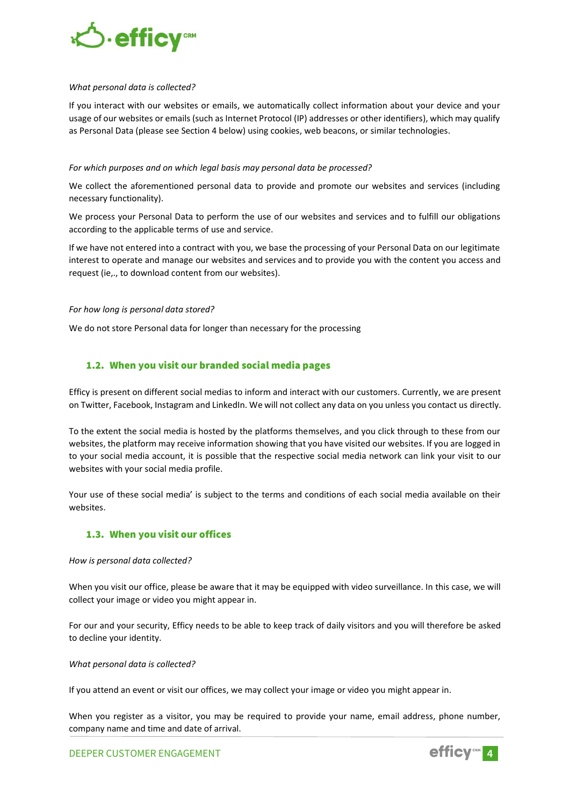

#### *What personal data is collected?*

If you interact with our websites or emails, we automatically collect information about your device and your usage of our websites or emails (such as Internet Protocol (IP) addresses or other identifiers), which may qualify as Personal Data (please see Section 4 below) using cookies, web beacons, or similar technologies.

#### *For which purposes and on which legal basis may personal data be processed?*

We collect the aforementioned personal data to provide and promote our websites and services (including necessary functionality).

We process your Personal Data to perform the use of our websites and services and to fulfill our obligations according to the applicable terms of use and service.

If we have not entered into a contract with you, we base the processing of your Personal Data on our legitimate interest to operate and manage our websites and services and to provide you with the content you access and request (ie,., to download content from our websites).

#### *For how long is personal data stored?*

We do not store Personal data for longer than necessary for the processing

#### <span id="page-3-0"></span>1.2. When you visit our branded social media pages

Efficy is present on different social medias to inform and interact with our customers. Currently, we are present on Twitter, Facebook, Instagram and LinkedIn. We will not collect any data on you unless you contact us directly.

To the extent the social media is hosted by the platforms themselves, and you click through to these from our websites, the platform may receive information showing that you have visited our websites. If you are logged in to your social media account, it is possible that the respective social media network can link your visit to our websites with your social media profile.

Your use of these social media' is subject to the terms and conditions of each social media available on their websites.

#### <span id="page-3-1"></span>1.3. When you visit our offices

#### *How is personal data collected?*

When you visit our office, please be aware that it may be equipped with video surveillance. In this case, we will collect your image or video you might appear in.

For our and your security, Efficy needs to be able to keep track of daily visitors and you will therefore be asked to decline your identity.

#### *What personal data is collected?*

If you attend an event or visit our offices, we may collect your image or video you might appear in.

When you register as a visitor, you may be required to provide your name, email address, phone number, company name and time and date of arrival.

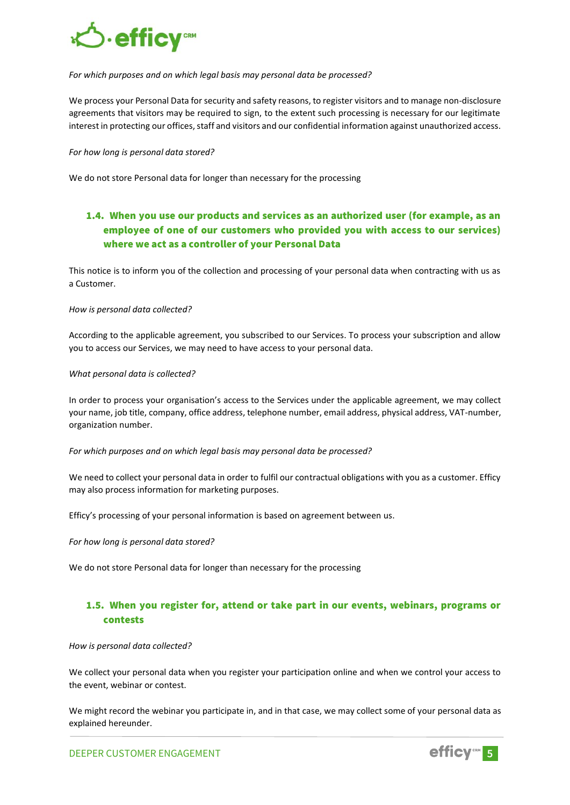

#### *For which purposes and on which legal basis may personal data be processed?*

We process your Personal Data for security and safety reasons, to register visitors and to manage non-disclosure agreements that visitors may be required to sign, to the extent such processing is necessary for our legitimate interest in protecting our offices, staff and visitors and our confidential information against unauthorized access.

#### *For how long is personal data stored?*

We do not store Personal data for longer than necessary for the processing

## <span id="page-4-0"></span>1.4. When you use our products and services as an authorized user (for example, as an employee of one of our customers who provided you with access to our services) where we act as a controller of your Personal Data

This notice is to inform you of the collection and processing of your personal data when contracting with us as a Customer.

#### *How is personal data collected?*

According to the applicable agreement, you subscribed to our Services. To process your subscription and allow you to access our Services, we may need to have access to your personal data.

#### *What personal data is collected?*

In order to process your organisation's access to the Services under the applicable agreement, we may collect your name, job title, company, office address, telephone number, email address, physical address, VAT-number, organization number.

#### *For which purposes and on which legal basis may personal data be processed?*

We need to collect your personal data in order to fulfil our contractual obligations with you as a customer. Efficy may also process information for marketing purposes.

Efficy's processing of your personal information is based on agreement between us.

#### *For how long is personal data stored?*

We do not store Personal data for longer than necessary for the processing

### <span id="page-4-1"></span>1.5. When you register for, attend or take part in our events, webinars, programs or contests

#### *How is personal data collected?*

We collect your personal data when you register your participation online and when we control your access to the event, webinar or contest.

We might record the webinar you participate in, and in that case, we may collect some of your personal data as explained hereunder.

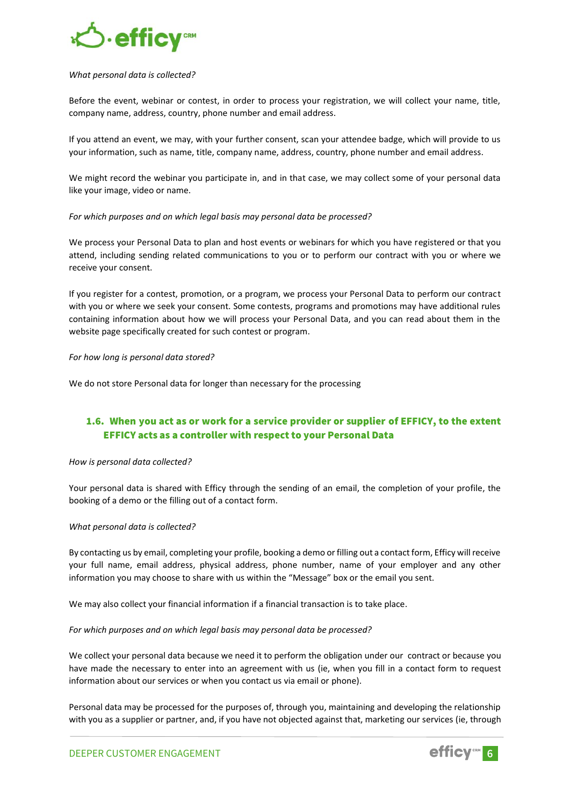

#### *What personal data is collected?*

Before the event, webinar or contest, in order to process your registration, we will collect your name, title, company name, address, country, phone number and email address.

If you attend an event, we may, with your further consent, scan your attendee badge, which will provide to us your information, such as name, title, company name, address, country, phone number and email address.

We might record the webinar you participate in, and in that case, we may collect some of your personal data like your image, video or name.

#### *For which purposes and on which legal basis may personal data be processed?*

We process your Personal Data to plan and host events or webinars for which you have registered or that you attend, including sending related communications to you or to perform our contract with you or where we receive your consent.

If you register for a contest, promotion, or a program, we process your Personal Data to perform our contract with you or where we seek your consent. Some contests, programs and promotions may have additional rules containing information about how we will process your Personal Data, and you can read about them in the website page specifically created for such contest or program.

#### *For how long is personal data stored?*

We do not store Personal data for longer than necessary for the processing

## <span id="page-5-0"></span>1.6. When you act as or work for a service provider or supplier of EFFICY, to the extent EFFICY acts as a controller with respect to your Personal Data

#### *How is personal data collected?*

Your personal data is shared with Efficy through the sending of an email, the completion of your profile, the booking of a demo or the filling out of a contact form.

#### *What personal data is collected?*

By contacting us by email, completing your profile, booking a demo or filling out a contact form, Efficy will receive your full name, email address, physical address, phone number, name of your employer and any other information you may choose to share with us within the "Message" box or the email you sent.

We may also collect your financial information if a financial transaction is to take place.

#### *For which purposes and on which legal basis may personal data be processed?*

We collect your personal data because we need it to perform the obligation under our contract or because you have made the necessary to enter into an agreement with us (ie, when you fill in a contact form to request information about our services or when you contact us via email or phone).

Personal data may be processed for the purposes of, through you, maintaining and developing the relationship with you as a supplier or partner, and, if you have not objected against that, marketing our services (ie, through

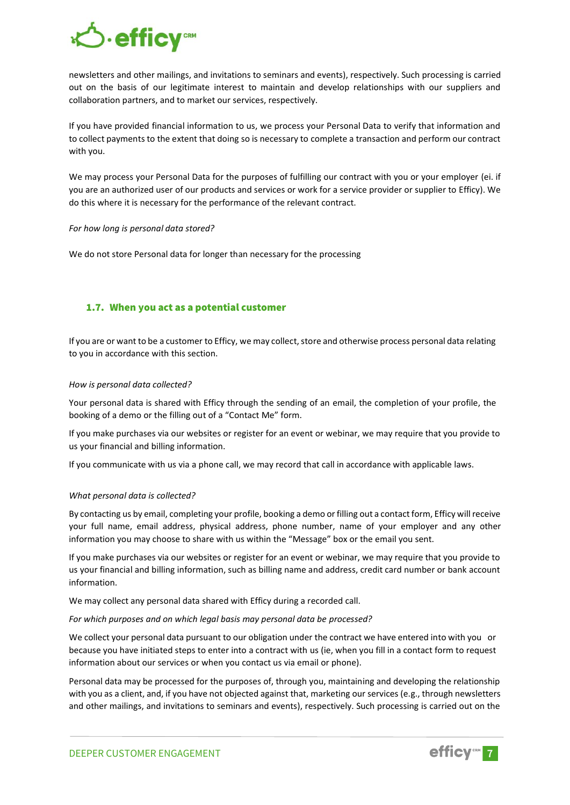

newsletters and other mailings, and invitations to seminars and events), respectively. Such processing is carried out on the basis of our legitimate interest to maintain and develop relationships with our suppliers and collaboration partners, and to market our services, respectively.

If you have provided financial information to us, we process your Personal Data to verify that information and to collect payments to the extent that doing so is necessary to complete a transaction and perform our contract with you.

We may process your Personal Data for the purposes of fulfilling our contract with you or your employer (ei. if you are an authorized user of our products and services or work for a service provider or supplier to Efficy). We do this where it is necessary for the performance of the relevant contract.

#### *For how long is personal data stored?*

We do not store Personal data for longer than necessary for the processing

#### <span id="page-6-0"></span>1.7. When you act as a potential customer

If you are or want to be a customer to Efficy, we may collect, store and otherwise process personal data relating to you in accordance with this section.

#### *How is personal data collected?*

Your personal data is shared with Efficy through the sending of an email, the completion of your profile, the booking of a demo or the filling out of a "Contact Me" form.

If you make purchases via our websites or register for an event or webinar, we may require that you provide to us your financial and billing information.

If you communicate with us via a phone call, we may record that call in accordance with applicable laws.

#### *What personal data is collected?*

By contacting us by email, completing your profile, booking a demo or filling out a contact form, Efficy will receive your full name, email address, physical address, phone number, name of your employer and any other information you may choose to share with us within the "Message" box or the email you sent.

If you make purchases via our websites or register for an event or webinar, we may require that you provide to us your financial and billing information, such as billing name and address, credit card number or bank account information.

We may collect any personal data shared with Efficy during a recorded call.

*For which purposes and on which legal basis may personal data be processed?*

We collect your personal data pursuant to our obligation under the contract we have entered into with you or because you have initiated steps to enter into a contract with us (ie, when you fill in a contact form to request information about our services or when you contact us via email or phone).

Personal data may be processed for the purposes of, through you, maintaining and developing the relationship with you as a client, and, if you have not objected against that, marketing our services (e.g., through newsletters and other mailings, and invitations to seminars and events), respectively. Such processing is carried out on the

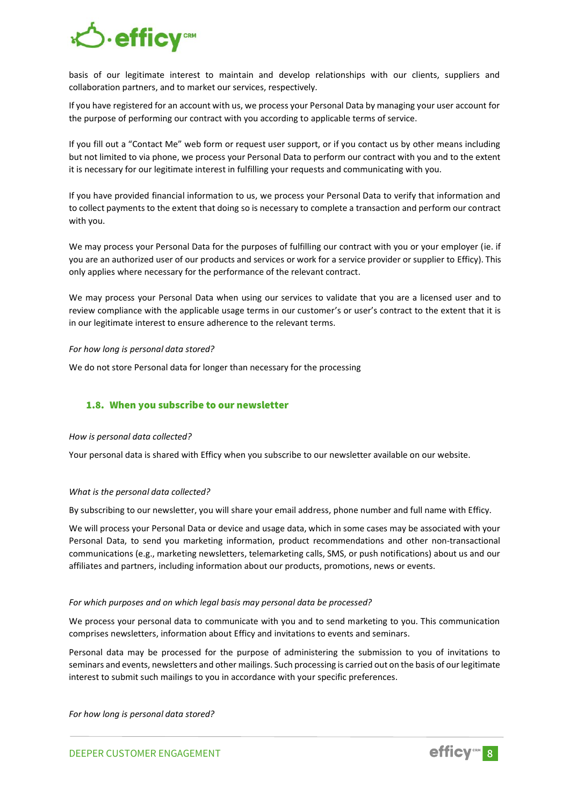

basis of our legitimate interest to maintain and develop relationships with our clients, suppliers and collaboration partners, and to market our services, respectively.

If you have registered for an account with us, we process your Personal Data by managing your user account for the purpose of performing our contract with you according to applicable terms of service.

If you fill out a "Contact Me" web form or request user support, or if you contact us by other means including but not limited to via phone, we process your Personal Data to perform our contract with you and to the extent it is necessary for our legitimate interest in fulfilling your requests and communicating with you.

If you have provided financial information to us, we process your Personal Data to verify that information and to collect payments to the extent that doing so is necessary to complete a transaction and perform our contract with you.

We may process your Personal Data for the purposes of fulfilling our contract with you or your employer (ie. if you are an authorized user of our products and services or work for a service provider or supplier to Efficy). This only applies where necessary for the performance of the relevant contract.

We may process your Personal Data when using our services to validate that you are a licensed user and to review compliance with the applicable usage terms in our customer's or user's contract to the extent that it is in our legitimate interest to ensure adherence to the relevant terms.

#### *For how long is personal data stored?*

We do not store Personal data for longer than necessary for the processing

#### <span id="page-7-0"></span>1.8. When you subscribe to our newsletter

#### *How is personal data collected?*

Your personal data is shared with Efficy when you subscribe to our newsletter available on our website.

#### *What is the personal data collected?*

By subscribing to our newsletter, you will share your email address, phone number and full name with Efficy.

We will process your Personal Data or device and usage data, which in some cases may be associated with your Personal Data, to send you marketing information, product recommendations and other non-transactional communications (e.g., marketing newsletters, telemarketing calls, SMS, or push notifications) about us and our affiliates and partners, including information about our products, promotions, news or events.

#### *For which purposes and on which legal basis may personal data be processed?*

We process your personal data to communicate with you and to send marketing to you. This communication comprises newsletters, information about Efficy and invitations to events and seminars.

Personal data may be processed for the purpose of administering the submission to you of invitations to seminars and events, newsletters and other mailings. Such processing is carried out on the basis of our legitimate interest to submit such mailings to you in accordance with your specific preferences.

*For how long is personal data stored?*

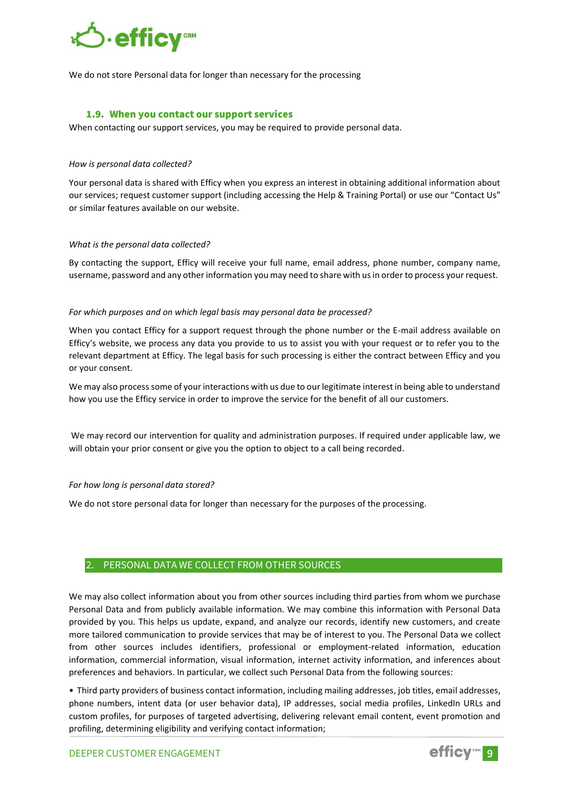

We do not store Personal data for longer than necessary for the processing

#### 1.9. When you contact our support services

<span id="page-8-0"></span>When contacting our support services, you may be required to provide personal data.

#### *How is personal data collected?*

Your personal data is shared with Efficy when you express an interest in obtaining additional information about our services; request customer support (including accessing the Help & Training Portal) or use our "Contact Us" or similar features available on our website.

#### *What is the personal data collected?*

By contacting the support, Efficy will receive your full name, email address, phone number, company name, username, password and any other information you may need to share with us in order to process your request.

#### *For which purposes and on which legal basis may personal data be processed?*

When you contact Efficy for a support request through the phone number or the E-mail address available on Efficy's website, we process any data you provide to us to assist you with your request or to refer you to the relevant department at Efficy. The legal basis for such processing is either the contract between Efficy and you or your consent.

We may also process some of your interactions with us due to our legitimate interest in being able to understand how you use the Efficy service in order to improve the service for the benefit of all our customers.

We may record our intervention for quality and administration purposes. If required under applicable law, we will obtain your prior consent or give you the option to object to a call being recorded.

#### *For how long is personal data stored?*

We do not store personal data for longer than necessary for the purposes of the processing.

#### <span id="page-8-1"></span>2. PERSONAL DATA WE COLLECT FROM OTHER SOURCES

We may also collect information about you from other sources including third parties from whom we purchase Personal Data and from publicly available information. We may combine this information with Personal Data provided by you. This helps us update, expand, and analyze our records, identify new customers, and create more tailored communication to provide services that may be of interest to you. The Personal Data we collect from other sources includes identifiers, professional or employment-related information, education information, commercial information, visual information, internet activity information, and inferences about preferences and behaviors. In particular, we collect such Personal Data from the following sources:

• Third party providers of business contact information, including mailing addresses, job titles, email addresses, phone numbers, intent data (or user behavior data), IP addresses, social media profiles, LinkedIn URLs and custom profiles, for purposes of targeted advertising, delivering relevant email content, event promotion and profiling, determining eligibility and verifying contact information;

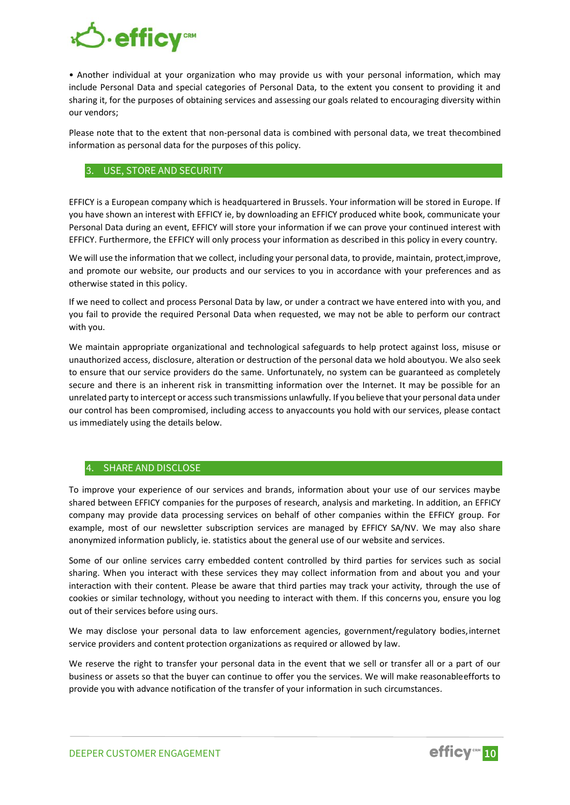

• Another individual at your organization who may provide us with your personal information, which may include Personal Data and special categories of Personal Data, to the extent you consent to providing it and sharing it, for the purposes of obtaining services and assessing our goals related to encouraging diversity within our vendors;

Please note that to the extent that non-personal data is combined with personal data, we treat thecombined information as personal data for the purposes of this policy.

#### <span id="page-9-0"></span>3. USE, STORE AND SECURITY

EFFICY is a European company which is headquartered in Brussels. Your information will be stored in Europe. If you have shown an interest with EFFICY ie, by downloading an EFFICY produced white book, communicate your Personal Data during an event, EFFICY will store your information if we can prove your continued interest with EFFICY. Furthermore, the EFFICY will only process your information as described in this policy in every country.

We will use the information that we collect, including your personal data, to provide, maintain, protect,improve, and promote our website, our products and our services to you in accordance with your preferences and as otherwise stated in this policy.

If we need to collect and process Personal Data by law, or under a contract we have entered into with you, and you fail to provide the required Personal Data when requested, we may not be able to perform our contract with you.

We maintain appropriate organizational and technological safeguards to help protect against loss, misuse or unauthorized access, disclosure, alteration or destruction of the personal data we hold aboutyou. We also seek to ensure that our service providers do the same. Unfortunately, no system can be guaranteed as completely secure and there is an inherent risk in transmitting information over the Internet. It may be possible for an unrelated party to intercept or access such transmissions unlawfully. If you believe that your personal data under our control has been compromised, including access to anyaccounts you hold with our services, please contact us immediately using the details below.

#### <span id="page-9-1"></span>4. SHARE AND DISCLOSE

To improve your experience of our services and brands, information about your use of our services maybe shared between EFFICY companies for the purposes of research, analysis and marketing. In addition, an EFFICY company may provide data processing services on behalf of other companies within the EFFICY group. For example, most of our newsletter subscription services are managed by EFFICY SA/NV. We may also share anonymized information publicly, ie. statistics about the general use of our website and services.

Some of our online services carry embedded content controlled by third parties for services such as social sharing. When you interact with these services they may collect information from and about you and your interaction with their content. Please be aware that third parties may track your activity, through the use of cookies or similar technology, without you needing to interact with them. If this concerns you, ensure you log out of their services before using ours.

We may disclose your personal data to law enforcement agencies, government/regulatory bodies,internet service providers and content protection organizations as required or allowed by law.

We reserve the right to transfer your personal data in the event that we sell or transfer all or a part of our business or assets so that the buyer can continue to offer you the services. We will make reasonableefforts to provide you with advance notification of the transfer of your information in such circumstances.

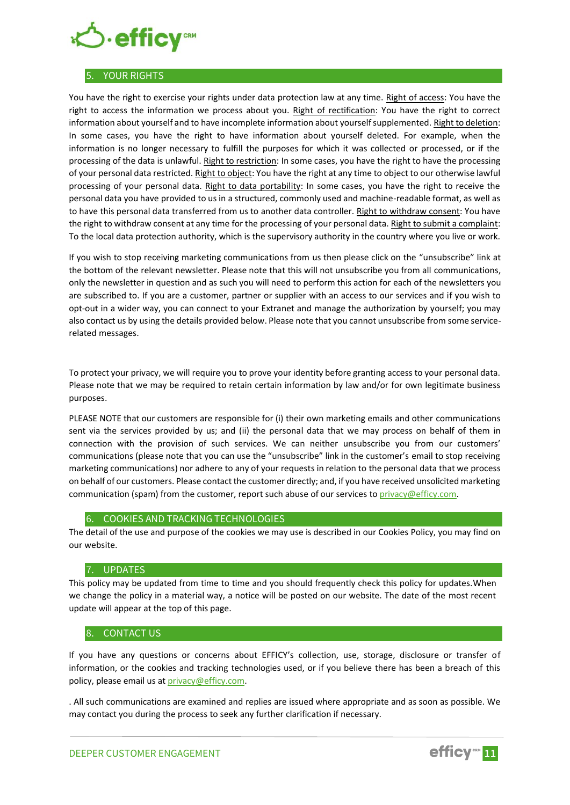

#### <span id="page-10-0"></span>5. YOUR RIGHTS

You have the right to exercise your rights under data protection law at any time. Right of access: You have the right to access the information we process about you. Right of rectification: You have the right to correct information about yourself and to have incomplete information about yourself supplemented. Right to deletion: In some cases, you have the right to have information about yourself deleted. For example, when the information is no longer necessary to fulfill the purposes for which it was collected or processed, or if the processing of the data is unlawful. Right to restriction: In some cases, you have the right to have the processing of your personal data restricted. Right to object: You have the right at any time to object to our otherwise lawful processing of your personal data. Right to data portability: In some cases, you have the right to receive the personal data you have provided to us in a structured, commonly used and machine-readable format, as well as to have this personal data transferred from us to another data controller. Right to withdraw consent: You have the right to withdraw consent at any time for the processing of your personal data. Right to submit a complaint: To the local data protection authority, which is the supervisory authority in the country where you live or work.

If you wish to stop receiving marketing communications from us then please click on the "unsubscribe" link at the bottom of the relevant newsletter. Please note that this will not unsubscribe you from all communications, only the newsletter in question and as such you will need to perform this action for each of the newsletters you are subscribed to. If you are a customer, partner or supplier with an access to our services and if you wish to opt-out in a wider way, you can connect to your Extranet and manage the authorization by yourself; you may also contact us by using the details provided below. Please note that you cannot unsubscribe from some servicerelated messages.

To protect your privacy, we will require you to prove your identity before granting access to your personal data. Please note that we may be required to retain certain information by law and/or for own legitimate business purposes.

PLEASE NOTE that our customers are responsible for (i) their own marketing emails and other communications sent via the services provided by us; and (ii) the personal data that we may process on behalf of them in connection with the provision of such services. We can neither unsubscribe you from our customers' communications (please note that you can use the "unsubscribe" link in the customer's email to stop receiving marketing communications) nor adhere to any of your requests in relation to the personal data that we process on behalf of our customers. Please contact the customer directly; and, if you have received unsolicited marketing communication (spam) from the customer, report such abuse of our services to [privacy@efficy.com.](mailto:privacy@efficy.com)

#### <span id="page-10-1"></span>6. COOKIES AND TRACKING TECHNOLOGIES

The detail of the use and purpose of the cookies we may use is described in our Cookies Policy, you may find on our website.

#### <span id="page-10-2"></span>7. UPDATES

This policy may be updated from time to time and you should frequently check this policy for updates.When we change the policy in a material way, a notice will be posted on our website. The date of the most recent update will appear at the top of this page.

#### <span id="page-10-3"></span>8. CONTACT US

If you have any questions or concerns about EFFICY's collection, use, storage, disclosure or transfer of information, or the cookies and tracking technologies used, or if you believe there has been a breach of this policy, please email us a[t privacy@efficy.com.](mailto:privacy@efficy.com)

. All such communications are examined and replies are issued where appropriate and as soon as possible. We may contact you during the process to seek any further clarification if necessary.